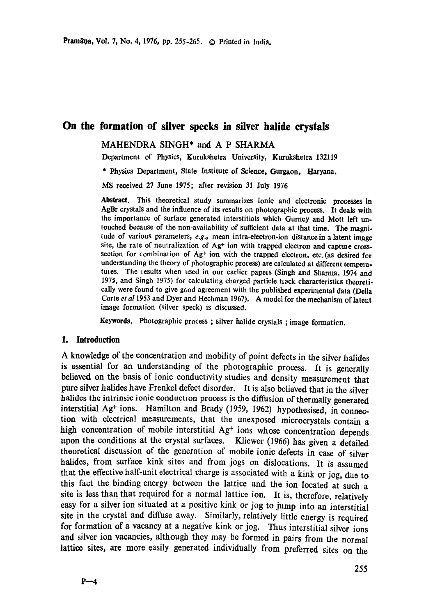# **On the formation of silver specks in silver halide crystals**

### MAHENDRA SINGH\* and A P SHARMA

Department of Physics, Kurukshetra University, Kurukshetra 132119

\* Physics Department, State Institute of Science, Gurgaon, Haryana.

MS received 27 June 1975; after revision 31 July 1976

Abstract. This theoretical study summarizes ionic and electronic **processes in**  AgBr crystals and the influence of its results on photographic process. It deals with the importance of surface generated interstitials which Gurney and Mott left untouched because of the non-availability of sufficient data at that time. The magnitude of various parameters, *e.g.,* mean intra-eleetron-ion distance in a latent **image**  site, the rate of neutralization of  $Ag<sup>+</sup>$  ion with trapped electron and capture crosssection for combination of  $Ag<sup>+</sup>$  ion with the trapped electron, etc. (as desired for understanding the theory of photographic process) are calculated at different temperatures. The results when used in our earlier papels (Singh and Sharma, 1974 and 1975, and Singh 1975) for calculating charged particle track characteristics theoretically were found to give good agreement with the published experimental data (Della Corte et al 1953 and Dyer and Hechman 1967). A model for the mechanism of latent image formation (silver speck) is discussed.

Keywords. Photographic process; silver halide crystals; image formaticn.

#### **1. Introduction**

A knowledge of the concentration and mobility of point defects in the silver halides is essential for an understanding of the photographic process. It is generally believed on the basis of ionic conductivity studies and density measurement that pure silver halides have Frenkel defect disorder. It is also believed that in the silver halides the intrinsic ionic conduction process is the diffusion of thermally generated interstitial Ag<sup>+</sup> ions. Hamilton and Brady (1959, 1962) hypothesised, in connection with electrical measurements, that the unexposed microcrystals contain a high concentration of mobile interstitial  $Ag<sup>+</sup>$  ions whose concentration depends upon the conditions at the crystal surfaces. Kliewer (1966) has given a detailed theoretical discussion of the generation of mobile ionic defects in case of silver halides, from surface kink sites and from jogs on dislocations. It is assumed that the effective half-unit electrical charge is associated with a kink or jog, due to this fact the binding energy between the lattice and the ion located at such a site is less than that required for a normal lattice ion. It is, therefore, relatively easy for a silver ion situated at a positive kink or jog to jump into an interstitial site in the crystal and diffuse away. Similarly, relatively little energy is required for formation of a vacancy at a negative kink or jog. Thus interstitial silver ions **and** silver ion vacancies, although they may be formed in pairs from the normal lattice sites, are more easily generated individually from preferred sites on the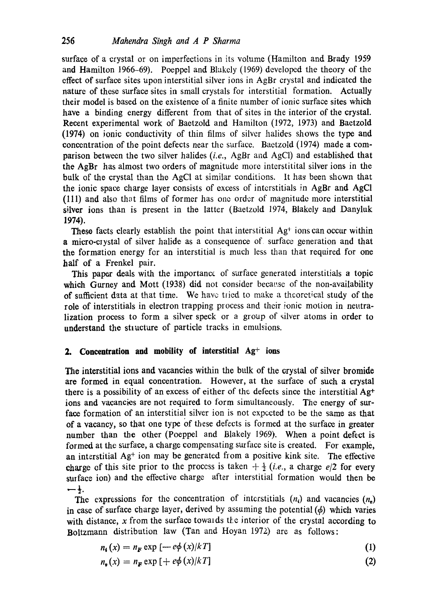surface of a crystal or on imperfections in its volume (Hamilton and Brady 1959 and Hamilton 1966-69). Poeppel and Blakely (1969) developed the theory of the effect of surface sites upon interstitial silver ions in AgBr crystal and indicated the nature of these surface sites in small crystals for interstitial formation. Actually their model is based on the existence of a finite number of ionic surface sites which have a binding energy different from that of sites in the interior of the crystal. Recent experimental work of Baetzold and Hamilton (1972, 1973) and Baetzold (1974) on ionic conductivity of thin films of silver halides shows the type and concentration of the point defects near the surface. Baetzold (1974) made a comparison between the two silver halides *(i.e.,* AgBr and AgCI) and established that **the** AgBr has almost two orders of magnitude more interstitital silver ions in the balk of the crystal than the AgCI at similar conditions. It has been shown that **the** ionic space charge layer consists of excess of intcrstitials in AgBr and AgCI (111) and also that films of former has one order of magnitude more interstitial silver ions than is present in the latter (Baetzold 1974, Blakely and Danyluk 1974).

These facts clearly establish the point that interstitial Ag<sup>+</sup> ions can occur within a micro-ciystal of silver halide as a consequence of surface generation and that **the** formation energy for an interstitial is much less than that required for one half of a Frenkel pair.

This paper deals with the importance of surface generated interstitials a topic which Gurney and Mott (1938) did not consider because of the non-availability of sttfficient data at that time. We have tried to make a theoretical study of the role of interstitials in electron trapping process and their ionic motion in neutralization process to form a silver speck or a group of silver atoms in order to understand the structure of particle tracks in emulsions.

## **2. Concentration and mobility of interstitial Ag<sup>+</sup> ions**

**The** interstitial ions and vacancies within the bulk of the crystal of silver bromide are formed in equal concentration. However, at the surface of such a crystal there is a possibility of an excess of either of the defects since the interstitial Ag<sup>+</sup> ions and vacancies are not required to form simultaneously. The energy of surface formation of an interstitial silver ion is not expected to be the same as that of a vacancy, so that one type of these defects is formed at the surface in greater number than the other (Poeppel and Blakely 1969). When a point defect is formed at the surface, a charge compensating surface site is created. For example, an interstitial  $Ag<sup>+</sup>$  ion may be generated from a positive kink site. The effective charge of this site prior to the process is taken  $+\frac{1}{2}$  *(i.e., a charge e/2 for every* surface ion) and the effective charge after interstitial formation would then be  $-\frac{1}{2}$ .

The expressions for the concentration of interstitials  $(n_i)$  and vacancies  $(n_n)$ in case of surface charge layer, derived by assuming the potential  $(\phi)$  which varies with distance, x from the surface towards the interior of the crystal according to Boltzmann distribution law (Tan and Hoyan 1972) are as follows:

$$
n_{\mathbf{i}}(x) = n_{\mathbf{F}} \exp\left[-e\phi\left(x\right)/kT\right] \tag{1}
$$

$$
n_{\mathbf{v}}(x) = n_{\mathbf{F}} \exp\left[ + e\phi\left( x \right) / kT \right] \tag{2}
$$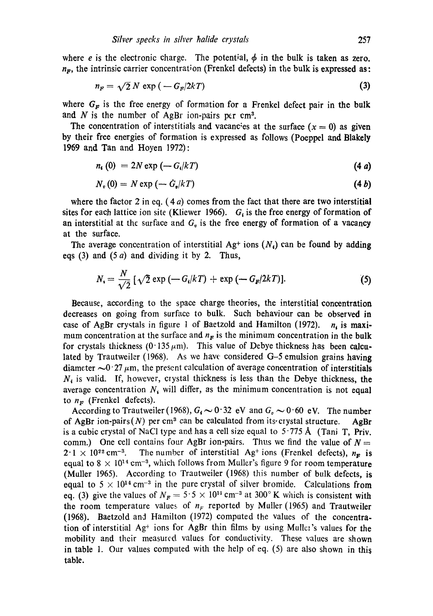where e is the electronic charge. The potential,  $\phi$  in the bulk is taken as zero.  $n<sub>F</sub>$ , the intrinsic carrier concentration (Frenkel defects) in the bulk is expressed as:

$$
n_F = \sqrt{2} N \exp\left(-G_F/2kT\right) \tag{3}
$$

where  $G_F$  is the free energy of formation for a Frenkel defect pair in the bulk and  $N$  is the number of AgBr ion-pairs per cm<sup>3</sup>.

The concentration of interstitials and vacancies at the surface  $(x = 0)$  as given by their free energies of formation is expressed as follows (Poeppel and Blakely 1969 and Tan and Hoyen 1972):

$$
n_{\mathbf{i}}\left(0\right) = 2N\exp\left(-G_{\mathbf{i}}/kT\right) \tag{4 a}
$$

$$
N_v(0) = N \exp\left(-\dot{G}_v/kT\right) \tag{4b}
$$

where the factor 2 in eq.  $(4a)$  comes from the fact that there are two interstitial sites for each lattice ion site (Kliewer 1966).  $G_i$  is the free energy of formation of an interstitial at the surface and  $G<sub>v</sub>$  is the free energy of formation of a vacancy at the surface.

The average concentration of interstitial Ag<sup>+</sup> ions  $(N<sub>t</sub>)$  can be found by adding eqs (3) and  $(5 a)$  and dividing it by 2. Thus,

$$
N_{i} = \frac{N}{\sqrt{2}} \left[ \sqrt{2} \exp \left( -G_{i}/kT \right) + \exp \left( -G_{F}/2kT \right) \right]. \tag{5}
$$

Because, according to the space charge theories, the interstitial concentration decreases on going from surface to bulk. Such behaviour can be observed in case of AgBr crystals in figure 1 of Baetzold and Hamilton (1972).  $n_i$  is maximum concentration at the surface and  $n_F$  is the minimum concentration in the bulk for crystals thickness (0.135  $\mu$ m). This value of Debye thickness has been calculated by Traatweiler (1968). As we have considered G-5 emulsion grains having diameter  $\sim 0.27 \mu$ m, the present calculation of average concentration of interstitials  $N_i$  is valid. If, however, crystal thickness is less than the Debye thickness, the average concentration  $N_i$  will differ, as the minimum concentration is not equal to  $n_F$  (Frenkel defects).

According to Trautweiler (1968),  $G_i \sim 0.32$  eV and  $G_i \sim 0.60$  eV. The number of AgBr ion-pairs(N) per cm<sup>3</sup> can be calculated from its crystal structure. AgBr is a cubic crystal of NaCl type and has a cell size equal to  $5.775\text{\AA}$  (Tani T, Priv. comm.) One cell contains four AgBr ion-pairs. Thus we find the value of  $N =$  $2.1 \times 10^{22}$  cm<sup>-3</sup>. The number of interstitial Ag<sup>+</sup> ions (Frenkel defects),  $n_{\rm F}$  is equal to 8  $\times$  10<sup>14</sup> cm<sup>-3</sup>, which follows from Muller's figure 9 for room temperature (Muller 1965). According to Trautweiler  $(1968)$  this number of bulk defects, is equal to  $5 \times 10^{14}$  cm<sup>-3</sup> in the pure crystal of silver bromide. Calculations from eq. (3) give the values of  $N_F = 5.5 \times 10^{14} \text{ cm}^{-3}$  at 300° K which is consistent with the room temperature values of  $n_F$  reported by Muller (1965) and Trautweiler (1968). Baetzold and Hamilton (1972) computed the values of the concentration of interstitial  $Ag<sup>+</sup>$  ions for AgBr thin films by using Muller's values for the mobility and their measured values for conductivity. These values are shown in table 1. Our values computed with the help of eq. (5) are also shown in this table.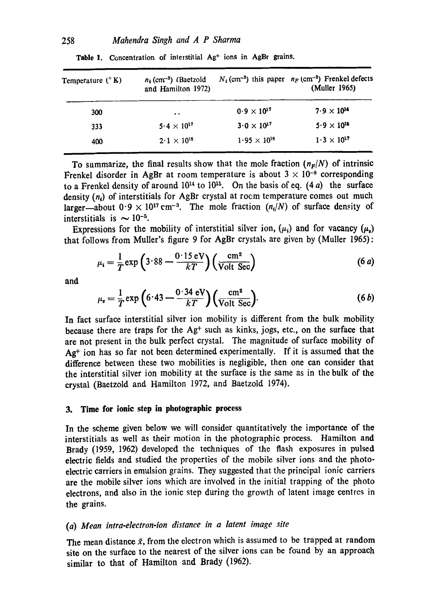| Temperature $(^{\circ}K)$ | $n_1$ (cm <sup>-3</sup> ) (Baetzold<br>and Hamilton 1972) |                       | $N_i$ (cm <sup>-3</sup> ) this paper $n_F$ (cm <sup>-3</sup> ) Frenkel defects<br>(Muller 1965) |
|---------------------------|-----------------------------------------------------------|-----------------------|-------------------------------------------------------------------------------------------------|
| 300                       | $\ddot{\phantom{0}}$                                      | $0.9 \times 10^{17}$  | $7.9 \times 10^{14}$                                                                            |
| 333                       | 5.4 $\times$ 10 <sup>17</sup>                             | $3.0 \times 10^{17}$  | $5.9 \times 10^{16}$                                                                            |
| 400                       | $2.1 \times 10^{18}$                                      | $1.95 \times 10^{18}$ | $1.3 \times 10^{17}$                                                                            |

Table 1. Concentration of interstitial Ag<sup>+</sup> ions in AgBr grains.

To summarize, the final results show that the mole fraction  $(n_F/N)$  of intrinsic Frenkel disorder in AgBr at room temperature is about  $3 \times 10^{-8}$  corresponding to a Frenkel density of around  $10^{14}$  to  $10^{15}$ . On the basis of eq. (4 a) the surface density  $(n_i)$  of interstitials for AgBr crystal at room temperature comes out much larger-about  $0.9 \times 10^{17}$  cm<sup>-3</sup>. The mole fraction  $(n_i/N)$  of surface density of interstitials is  $\sim 10^{-5}$ .

Expressions for the mobility of interstitial silver ion,  $(\mu_i)$  and for vacancy  $(\mu_i)$ that follows from Muller's figure 9 for AgBr crystals are given by (Muller 1965):

$$
\mu_i = \frac{1}{T} \exp\left(3.88 - \frac{0.15 \text{ eV}}{kT}\right) \left(\frac{\text{cm}^2}{\text{Volt Sec}}\right) \tag{6 a}
$$

and

$$
\mu_{\mathbf{v}} = \frac{1}{T} \exp\left(6.43 - \frac{0.34 \text{ eV}}{kT}\right) \left(\frac{\text{cm}^2}{\text{Volt Sec}}\right). \tag{6 b}
$$

In fact surface interstitial silver ion mobility is different from the bulk mobility because there are traps for the  $\mathbf{A}g^+$  such as kinks, jogs, etc., on the surface that are not present in the bulk perfect crystal. The magnitude of surface mobility of  $Ag<sup>+</sup>$  ion has so far not been determined experimentally. If it is assumed that the difference between these two mobilities is negligible, then one can consider that the interstitial silver ion mobility at the surface is the same as in the bulk of the crystal (Baetzold and Hamilton 1972, and Baetzold 1974).

### **3. Time for ionic step in photographic process**

In the scheme given below we will consider quantitatively the importance of the interstitials as well as their motion in the photographie process. Hamilton and Brady (1959, 1962) developed the techniques of the flash exposures in pulsed electric fields and studied the properties of the mobile silver ions and the photoelectric carriers in emulsion grains. They suggested that the principal ionic carriers are the mobile silver ions which are involved in the initial trapping of the photo electrons, and also in the ionic step during the growth of latent image centres in the grains.

## *(a) Mean intra-electron-ion distance in a latent image site*

The mean distance  $\bar{x}$ , from the electron which is assumed to be trapped at random site on the surface to the nearest of the silver ions can be found by an approach similar to that of Hamilton and Brady (1962).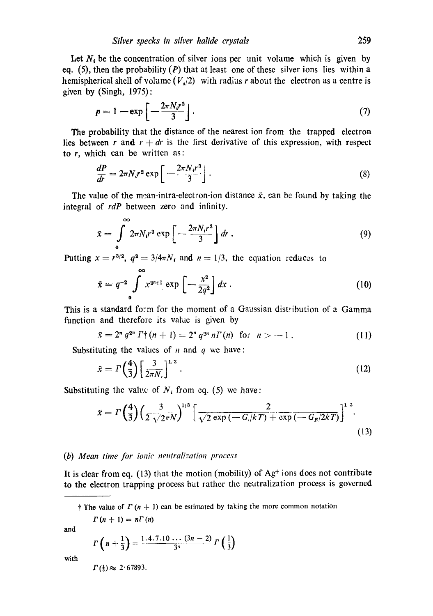Let  $N_i$ , be the concentration of silver ions per unit volume which is given by eq. (5), then the probability  $(P)$  that at least one of these silver ions lies within a hemispherical shell of volume  $(V_s/2)$  with radius r about the electron as a centre is given by (Singh, 1975):

$$
p = 1 - \exp\left[-\frac{2\pi N_i r^3}{3}\right].\tag{7}
$$

The probability that the distance of the nearest ion from the trapped electron lies between r and  $r + dr$  is the first derivative of this expression, with respect to  $r$ , which can be written as:

$$
\frac{dP}{dr} = 2\pi N_i r^2 \exp\left[-\frac{2\pi N_i r^3}{3}\right].
$$
\n(8)

The value of the mean-intra-electron-ion distance  $\bar{x}$ , can be found by taking the integral of *rdP* between zero and infinity.

$$
\bar{x} = \int_{0}^{\infty} 2\pi N_i r^3 \exp\left[-\frac{2\pi N_i r^3}{3}\right] dr \ . \tag{9}
$$

Putting  $x = r^{3/2}$ ,  $q^2 = 3/4\pi N_i$  and  $n = 1/3$ , the equation reduces to

$$
\bar{x} = q^{-2} \int_{0}^{1} x^{2^{n+1}} \exp\left[-\frac{x^2}{2q^2}\right] dx \,. \tag{10}
$$

This is a standard form for the moment of a Gaussian distribution of a Gamma function and therefore its value is given by

$$
\bar{x} = 2^n q^{2^n} \Gamma^+(n+1) = 2^n q^{2^n} n \Gamma(n) \text{ for } n > -1.
$$
 (11)

Substituting the values of  $n$  and  $q$  we have:

@0

$$
\bar{x} = \Gamma\left(\frac{4}{3}\right) \left[\frac{3}{2\pi N_1}\right]^{1/3} \,. \tag{12}
$$

Substituting the value of  $N_i$  from eq. (5) we have:

$$
\ddot{x} = \Gamma\left(\frac{4}{3}\right) \left(\frac{3}{2\sqrt{2\pi N}}\right)^{1/3} \left[\frac{2}{\sqrt{2\exp\left(-G/kT\right)} + \exp\left(-G_F/2kT\right)}\right]^{1/3}.
$$
\n(13)

#### *(b) Mean time for ionic neutralization process*

It is clear from eq.  $(13)$  that the motion (mobility) of  $\mathbf{A}g^+$  ions does not contribute to the electron trapping process but rather the neutralization process is governed

† The value of  $\Gamma$  (n + 1) can be estimated by taking the more common notation

$$
\Gamma(n+1)=n\Gamma(n)
$$

and

$$
\Gamma\left(n+\frac{1}{3}\right)=\frac{1\cdot4\cdot7\cdot10\cdot\cdots(3n-2)}{3^n}\Gamma\left(\frac{1}{3}\right)
$$

with

 $\Gamma(\frac{1}{3}) \approx 2.67893$ .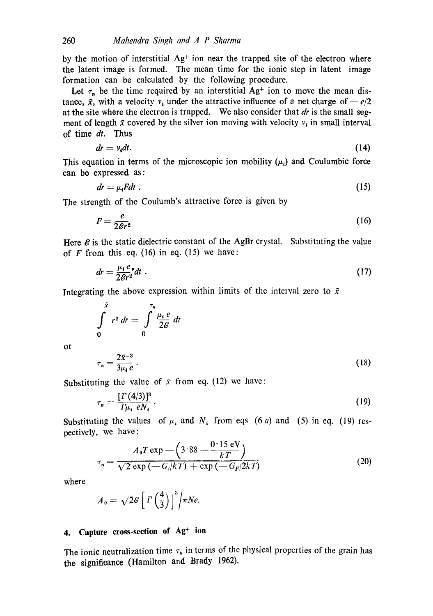by the motion of interstitial  $Ag<sup>+</sup>$  ion near the trapped site of the electron where the latent image is formed. The mean time for the ionic step in latent image formation can be calculated by the following procedure.

Let  $\tau_n$  be the time required by an interstitial Ag<sup>+</sup> ion to move the mean distance,  $\bar{x}$ , with a velocity  $v_i$  under the attractive influence of a net charge of  $-e/2$ at the site where the electron is trapped. We also consider that *dr* is the small segment of length  $\bar{x}$  covered by the silver ion moving with velocity  $v_i$  in small interval of time *dr.* Thus

$$
dr = vidt. \t\t(14)
$$

This equation in terms of the microscopic ion mobility  $(\mu_i)$  and Coulumbic force can be expressed as:

$$
dr = \mu_i F dt \tag{15}
$$

The strength of the Coulumb's attractive force is given by

$$
F = \frac{e}{2\mathcal{E}r^2} \tag{16}
$$

Here  $\mathcal E$  is the static dielectric constant of the AgBr crystal. Substituting the value of  $F$  from this eq. (16) in eq. (15) we have:

$$
dr = \frac{\mu_i e}{2\mathcal{E}r^2} dt \tag{17}
$$

Integrating the above expression within limits of the interval zero to  $\bar{x}$ 

$$
\int\limits_{0}^{\tilde{x}} r^2 dr = \int\limits_{0}^{\tau_n} \frac{\mu_i e}{2\mathcal{E}} dt
$$

or

$$
\tau_n = \frac{2\bar{x}^{-3}}{3\mu_\ell e} \,. \tag{18}
$$

Substituting the value of  $\bar{x}$  from eq. (12) we have:

$$
\tau_n = \frac{\left[\Gamma\left(4/3\right)\right]^3}{\Gamma\mu_i \ eN_i} \,. \tag{19}
$$

Substituting the values of  $\mu_i$  and  $N_i$  from eqs (6 a) and (5) in eq. (19) respectively, we have :

$$
\tau_n = \frac{A_0 T \exp\left(-\left(3.88 - \frac{0.15 \text{ eV}}{kT}\right)\right)}{\sqrt{2 \exp\left(-G_i/kT\right) + \exp\left(-G_F/2kT\right)}}\tag{20}
$$

where

$$
A_0 = \sqrt{2} \mathscr{E} \left[ \left. \Gamma \left( \frac{4}{3} \right) \right]^3 \middle/ \pi N e.
$$

## 4. Capture cross-section of Ag<sup>+</sup> ion

The ionic neutralization time  $\tau_n$  in terms of the physical properties of the grain has the significance (Hamilton and Brady 1962).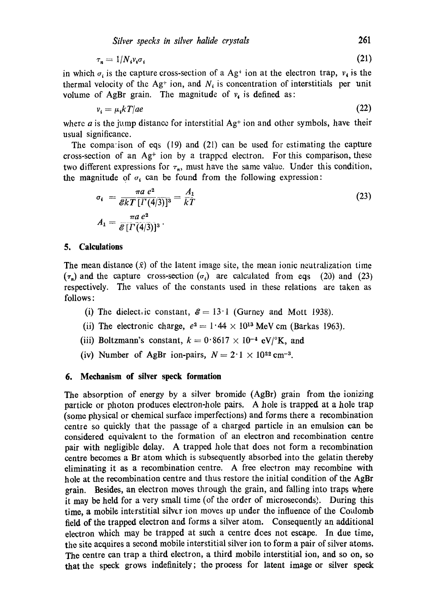$$
\tau_n = 1/N_i v_i \sigma_i \tag{21}
$$

in which  $\sigma_i$  is the capture cross-section of a Ag<sup>+</sup> ion at the electron trap,  $v_i$  is the thermal velocity of the Ag<sup>+</sup> ion, and  $N_i$  is concentration of interstitials per unit volume of AgBr grain. The magnitude of  $v_i$  is defined as:

$$
v_i = \mu_i k \cdot T / a e \tag{22}
$$

where a is the jump distance for interstitial  $Ag<sup>+</sup>$  ion and other symbols, have their usual significance.

The compa:ison of eqs (19) and (21) can be used for estimating the capture cross-section of an  $Ag<sup>+</sup>$  ion by a trapped electron. For this comparison, these two different expressions for  $\tau_n$ , must have the same value. Under this condition, the magnitude of  $\sigma_i$  can be found from the following expression:

$$
\sigma_i = \frac{\pi a e^2}{\mathcal{E}kT \left[\Gamma(4/3)\right]^3} = \frac{A_1}{kT}
$$
\n
$$
A_1 = \frac{\pi a e^2}{\mathcal{E}\left[\Gamma(4/3)\right]^3}.
$$
\n(23)

#### **5. Calculations**

The mean distance  $(\bar{x})$  of the latent image site, the mean ionic neutralization time  $(\tau_n)$  and the capture cross-section  $(\sigma_i)$  are calculated from eqs (20) and (23) respectively. The values of the constants used in these relations are taken as follows:

- (i) The dielect ic constant,  $\mathcal{E} = 13 \cdot 1$  (Gurney and Mott 1938).
- (ii) The electronic charge,  $e^2 = 1.44 \times 10^{13}$  MeV cm (Barkas 1963).
- (iii) Boltzmann's constant,  $k=0.8617 \times 10^{-4}$  eV/°K, and
- (iv) Number of AgBr ion-pairs,  $N = 2.1 \times 10^{22}$  cm<sup>-3</sup>.

#### **6. Mechanism of silver speck formation**

The absorption of energy by a silver bromide (AgBr) grain from the ionizing particle or photon produces electron-hole pairs. A hole is trapped at a hole trap (some physical or chemical surface imperfections) and forms there a recombination centre so quickly that the passage of a charged particle in an emulsion can be considered equivalent to the formation of an electron and recombination centre pair with negligible delay. A trapped hole that does not form a recombination centre becomes a Br atom which is subsequently absorbed into the gelatin thereby eliminating it as a recombination centre. A free electron may recombine with hole at the recombination centre and thus restore the initial condition of the AgBr grain. Besides, an electron moves through the grain, and falling into traps where it may be held for a very small time (of the order of microseconds). During this time, a mobile interstitial silver ion moves up under the influence of the Coulomb field of the trapped electron and forms a silver atom. Consequently an additional electron which may be trapped at such a centre does not escape. In due time, the site acquires a second mobile interstitial silver ion to form a pair of silver atoms. The centre can trap a third electron, a third mobile interstitial ion, and so on, so that the speck grows indefinitely; the process for latent image or silver **speck**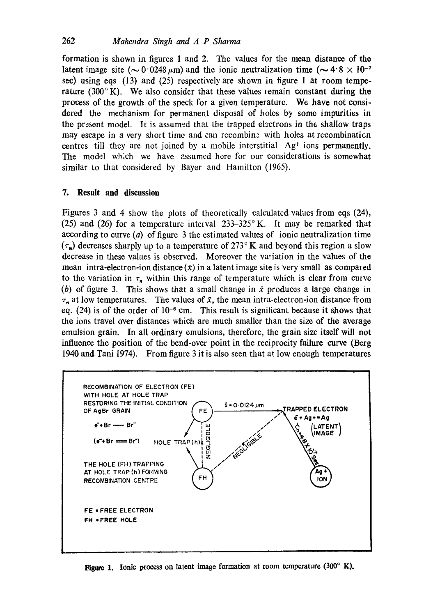formation is shown in figures 1 and 2. The values for the mean distance of **the**  latent image site ( $\sim 0.0248 \mu$ m) and the ionic neutralization time ( $\sim 4.8 \times 10^{-7}$ see) using eqs (13) and (25) respectively are shown in figure 1 at room temperature  $(300^\circ K)$ . We also consider that these values remain constant during the process of the growth of the speck for a given temperature. We have not considered the mechanism for permanent disposal of holes by some impurities **in**  the present model. It is assumed that the trapped electrons in the shallow traps may escape in a very short time and can recombination with holes at recombination centres till they are not joined by a mobile interstitial  $Ag<sup>+</sup>$  ions permanently. The model which we have assumed here for our considerations is somewhat similar to that considered by Bayer and Hamilton (1965).

## **7. Result and discussion**

Figures 3 and 4 show the plots of theoretically calculated values from eqs (24), (25) and (26) for a temperature interval  $233-325$ ° K. It may be remarked that according to curve  $(a)$  of figure 3 the estimated values of ionic neutralization time  $(\tau_n)$  decreases sharply up to a temperature of 273°K and beyond this region a slow decrease in these values is observed. Moreover the variation in the values of **the**  mean intra-electron-ion distance  $(\bar{x})$  in a latent image site is very small as compared to the variation in  $\tau_n$  within this range of temperature which is clear from curve (b) of figure 3. This shows that a small change in  $\bar{x}$  produces a large change in  $\tau_n$  at low temperatures. The values of  $\bar{x}$ , the mean intra-electron-ion distance from eq.  $(24)$  is of the order of  $10^{-6}$  cm. This result is significant because it shows that the ions travel over distances which are much smaller than the size of the average emulsion grain. In all ordinary emulsions, therefore, the grain size itself will not influence the position of the bend-over point in the reciprocity failure curve (Berg 1940 and Tani 1974). From figure 3 it is also seen that at low enough temperatures



Figure 1. Ionic process on latent image formation at room temperature (300° K).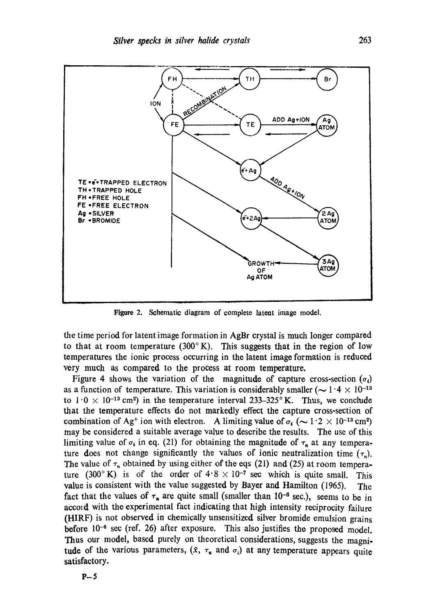

Figure 2. Schematic diagram of complete latent image model.

the time period for latent image formation in AgBr crystal is much longer compared to that at room temperature (300 $^{\circ}$ K). This suggests that in the region of low temperatures the ionic process occurring in the latent image formation is reduced very much as compared to the process at room temperature.

Figure 4 shows the variation of the magnitude of capture cross-section  $(\sigma_i)$ as a function of temperature. This variation is considerably smaller ( $\sim 1.4 \times 10^{-13}$ ) to  $1 \cdot 0 \times 10^{-13}$  cm<sup>2</sup>) in the temperature interval 233-325° K. Thus, we conclude that the temperature effects do not markedly effect the capture cross-section of combination of Ag<sup>+</sup> ion with electron. A limiting value of  $\sigma_i$  ( $\sim 1.2 \times 10^{-13}$  cm<sup>2</sup>) may be considered a suitable average value to describe the results. The use of this limiting value of  $\sigma_i$  in eq. (21) for obtaining the magnitude of  $\tau_n$  at any temperature does not change significantly the values of ionic neutralization time  $(\tau_n)$ . The value of  $\tau_n$  obtained by using either of the eqs (21) and (25) at room temperature (300°K) is of the order of  $4.8 \times 10^{-7}$  sec which is quite small. This value is consistent with the value suggested by Bayer and Hamilton (1965). The fact that the values of  $\tau_n$  are quite small (smaller than 10<sup>-6</sup> sec.), seems to be in accord with the experimental fact indicating that high intensity reciprocity failure (HIRF) is not observed in chemically unsensitized silver bromide emulsion grains before  $10^{-6}$  sec (ref. 26) after exposure. This also justifies the proposed model. Thus our model, based purely on theoretical considerations, suggests the magnitude of the various parameters,  $(\bar{x}, \tau_n$  and  $\sigma_i)$  at any temperature appears quite satisfactory.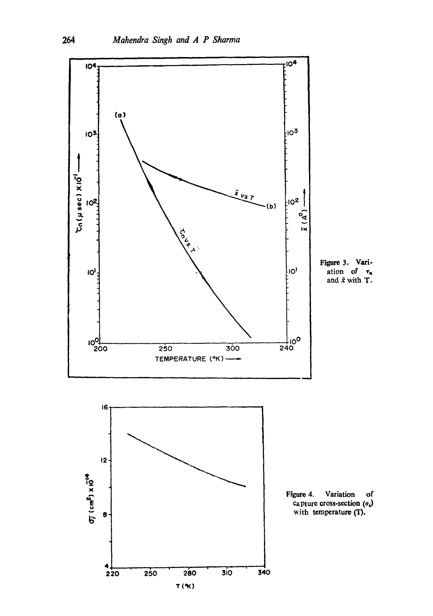